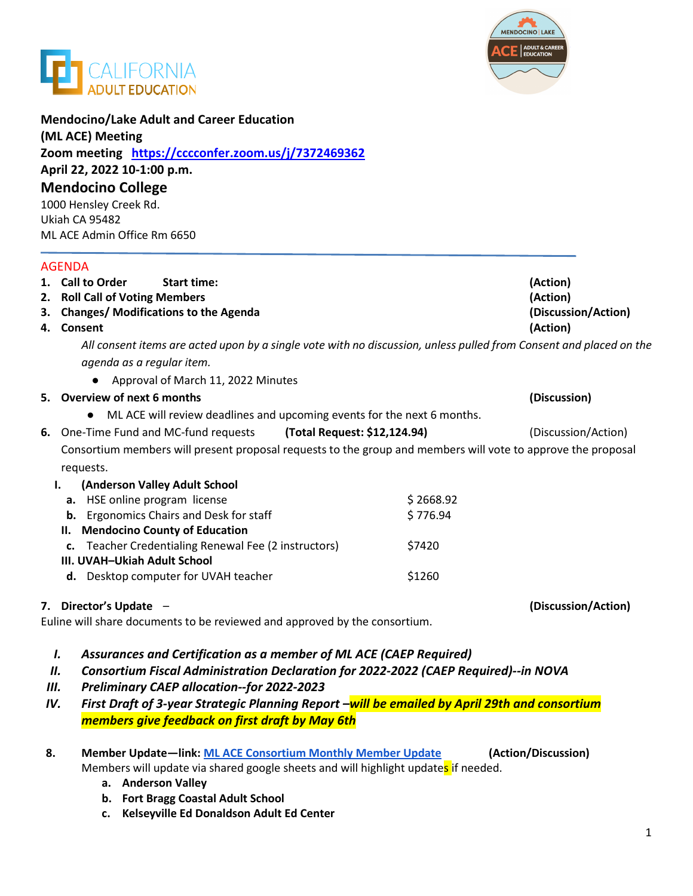



| <b>Mendocino College</b>                                                                                           |           |                                 |
|--------------------------------------------------------------------------------------------------------------------|-----------|---------------------------------|
| 1000 Hensley Creek Rd.<br>Ukiah CA 95482                                                                           |           |                                 |
| ML ACE Admin Office Rm 6650                                                                                        |           |                                 |
| <b>AGENDA</b>                                                                                                      |           |                                 |
| 1. Call to Order<br><b>Start time:</b>                                                                             |           | (Action)                        |
| 2. Roll Call of Voting Members                                                                                     |           | (Action)                        |
| 3. Changes/ Modifications to the Agenda<br>4. Consent                                                              |           | (Discussion/Action)<br>(Action) |
| All consent items are acted upon by a single vote with no discussion, unless pulled from Consent and placed on the |           |                                 |
| agenda as a regular item.                                                                                          |           |                                 |
| Approval of March 11, 2022 Minutes                                                                                 |           |                                 |
| 5. Overview of next 6 months                                                                                       |           | (Discussion)                    |
| ML ACE will review deadlines and upcoming events for the next 6 months.<br>$\bullet$                               |           |                                 |
| 6. One-Time Fund and MC-fund requests<br>(Total Request: \$12,124.94)                                              |           | (Discussion/Action)             |
| Consortium members will present proposal requests to the group and members will vote to approve the proposal       |           |                                 |
| requests.                                                                                                          |           |                                 |
| (Anderson Valley Adult School<br>I.                                                                                |           |                                 |
| a. HSE online program license                                                                                      | \$2668.92 |                                 |
| <b>b.</b> Ergonomics Chairs and Desk for staff                                                                     | \$776.94  |                                 |
| II. Mendocino County of Education                                                                                  |           |                                 |
| Teacher Credentialing Renewal Fee (2 instructors)                                                                  | \$7420    |                                 |
| III. UVAH-Ukiah Adult School                                                                                       |           |                                 |
| d. Desktop computer for UVAH teacher                                                                               | \$1260    |                                 |
| 7. Director's Update -                                                                                             |           | (Discussion/Action)             |
| Euline will share documents to be reviewed and approved by the consortium.                                         |           |                                 |

- *III. Preliminary CAEP allocation--for 2022-2023*
- *IV. First Draft of 3-year Strategic Planning Report –will be emailed by April 29th and consortium members give feedback on first draft by May 6th*
- **8. Member Update—link: [ML ACE Consortium Monthly Member Update](https://docs.google.com/spreadsheets/d/1aOAoKdJ3eCD5-J6XmjtZfNGkR08N_wfanOepA1PGL8Q/edit#gid=0) (Action/Discussion)** Members will update via shared google sheets and will highlight updates if needed.
	- **a. Anderson Valley**
	- **b. Fort Bragg Coastal Adult School**
	- **c. Kelseyville Ed Donaldson Adult Ed Center**